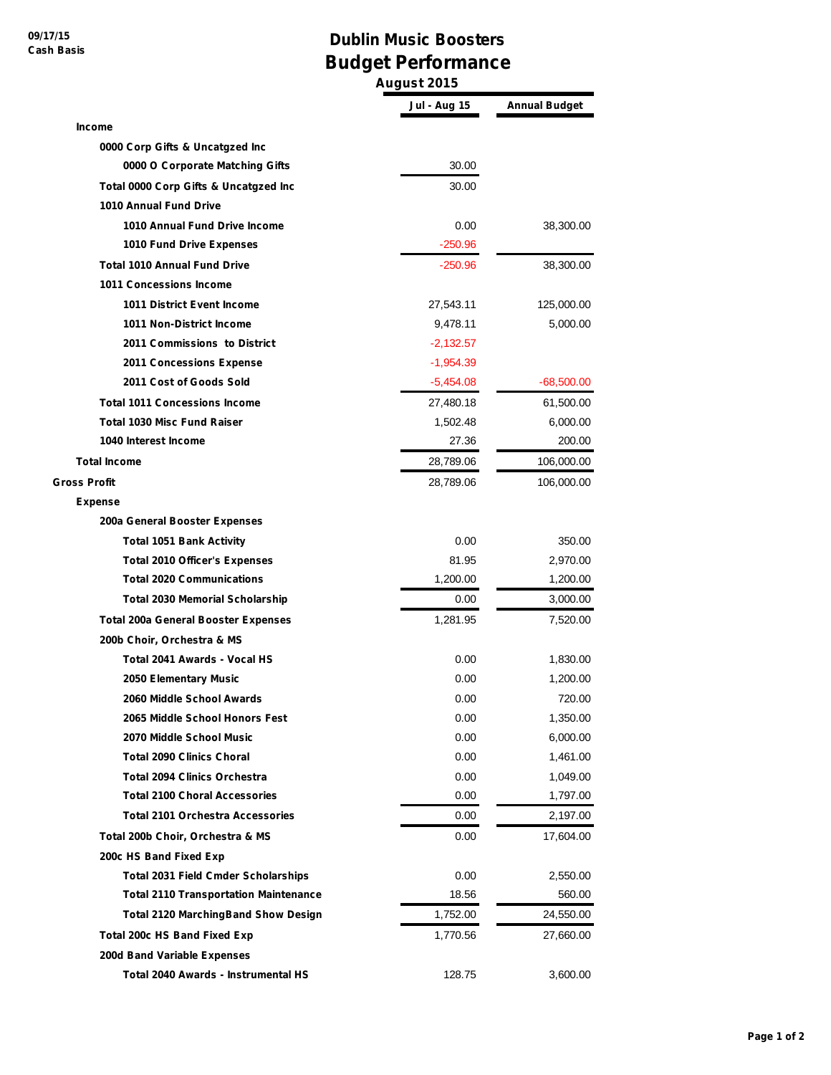## **Dublin Music Boosters Budget Performance**

**August 2015**

|                                              | Jul - Aug 15 | <b>Annual Budget</b> |
|----------------------------------------------|--------------|----------------------|
| <b>Income</b>                                |              |                      |
| 0000 Corp Gifts & Uncatgzed Inc              |              |                      |
| 0000 O Corporate Matching Gifts              | 30.00        |                      |
| Total 0000 Corp Gifts & Uncatgzed Inc        | 30.00        |                      |
| 1010 Annual Fund Drive                       |              |                      |
| 1010 Annual Fund Drive Income                | 0.00         | 38,300.00            |
| 1010 Fund Drive Expenses                     | -250.96      |                      |
| <b>Total 1010 Annual Fund Drive</b>          | $-250.96$    | 38,300.00            |
| 1011 Concessions Income                      |              |                      |
| <b>1011 District Event Income</b>            | 27,543.11    | 125,000.00           |
| 1011 Non-District Income                     | 9,478.11     | 5,000.00             |
| 2011 Commissions to District                 | $-2,132.57$  |                      |
| <b>2011 Concessions Expense</b>              | $-1,954.39$  |                      |
| 2011 Cost of Goods Sold                      | $-5,454.08$  | $-68,500.00$         |
| <b>Total 1011 Concessions Income</b>         | 27,480.18    | 61,500.00            |
| <b>Total 1030 Misc Fund Raiser</b>           | 1,502.48     | 6,000.00             |
| 1040 Interest Income                         | 27.36        | 200.00               |
| <b>Total Income</b>                          | 28,789.06    | 106,000.00           |
| <b>Gross Profit</b>                          | 28,789.06    | 106,000.00           |
| Expense                                      |              |                      |
| 200a General Booster Expenses                |              |                      |
| <b>Total 1051 Bank Activity</b>              | 0.00         | 350.00               |
| <b>Total 2010 Officer's Expenses</b>         | 81.95        | 2,970.00             |
| <b>Total 2020 Communications</b>             | 1,200.00     | 1,200.00             |
| <b>Total 2030 Memorial Scholarship</b>       | 0.00         | 3,000.00             |
| <b>Total 200a General Booster Expenses</b>   | 1,281.95     | 7,520.00             |
| 200b Choir, Orchestra & MS                   |              |                      |
| Total 2041 Awards - Vocal HS                 | 0.00         | 1,830.00             |
| 2050 Elementary Music                        | 0.00         | 1,200.00             |
| 2060 Middle School Awards                    | 0.00         | 720.00               |
| 2065 Middle School Honors Fest               | 0.00         | 1,350.00             |
| 2070 Middle School Music                     | 0.00         | 6,000.00             |
| <b>Total 2090 Clinics Choral</b>             | 0.00         | 1,461.00             |
| <b>Total 2094 Clinics Orchestra</b>          | 0.00         | 1,049.00             |
| <b>Total 2100 Choral Accessories</b>         | 0.00         | 1,797.00             |
| <b>Total 2101 Orchestra Accessories</b>      | 0.00         | 2,197.00             |
| Total 200b Choir, Orchestra & MS             | 0.00         | 17,604.00            |
| 200c HS Band Fixed Exp                       |              |                      |
| <b>Total 2031 Field Cmder Scholarships</b>   | 0.00         | 2,550.00             |
| <b>Total 2110 Transportation Maintenance</b> | 18.56        | 560.00               |
| <b>Total 2120 MarchingBand Show Design</b>   | 1,752.00     | 24,550.00            |
| <b>Total 200c HS Band Fixed Exp</b>          | 1,770.56     | 27,660.00            |
| 200d Band Variable Expenses                  |              |                      |
| Total 2040 Awards - Instrumental HS          | 128.75       | 3,600.00             |